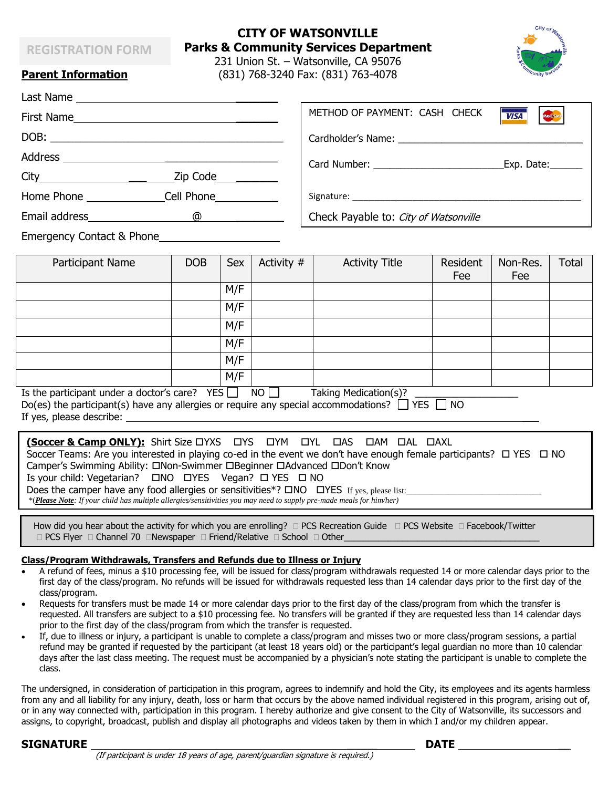## **REGISTRATION FORM**

# **CITY OF WATSONVILLE Parks & Community Services Department**

231 Union St. – Watsonville, CA 95076 **Parent Information** (831) 768-3240 Fax: (831) 763-4078

Last Name

|                                                                                                                                                                                                                                     | METHOD OF PAYMENT: CASH CHECK<br><b>VISA</b><br>Mastertard |
|-------------------------------------------------------------------------------------------------------------------------------------------------------------------------------------------------------------------------------------|------------------------------------------------------------|
|                                                                                                                                                                                                                                     |                                                            |
|                                                                                                                                                                                                                                     | Exp. Date:                                                 |
| $\mathsf{Zip}\ \mathsf{Code}$                                                                                                                                                                                                       |                                                            |
| Home Phone <b>Example 20</b> Cell Phone                                                                                                                                                                                             |                                                            |
| Email address and the state of the state of the state of the state of the state of the state of the state of the state of the state of the state of the state of the state of the state of the state of the state of the state<br>@ | Check Payable to: City of Watsonville                      |
| <b>Emergency Contact &amp; Phone</b>                                                                                                                                                                                                |                                                            |

| Participant Name                          | <b>DOB</b>       | Sex | Activity # | <b>Activity Title</b> | Resident | Non-Res. | <b>Total</b> |
|-------------------------------------------|------------------|-----|------------|-----------------------|----------|----------|--------------|
|                                           |                  |     |            |                       | Fee      | Fee      |              |
|                                           |                  | M/F |            |                       |          |          |              |
|                                           |                  | M/F |            |                       |          |          |              |
|                                           |                  | M/F |            |                       |          |          |              |
|                                           |                  | M/F |            |                       |          |          |              |
|                                           |                  | M/F |            |                       |          |          |              |
|                                           |                  | M/F |            |                       |          |          |              |
| Is the participant under a doctor's care? | YES <sup>I</sup> |     | NO.        | Taking Medication(s)? |          |          |              |

| Is the participant uniter a gotton's care: $\Box$ $\Box$ $\Box$<br><b>I ANIIY PICUILAUVIILS!</b>         |  |
|----------------------------------------------------------------------------------------------------------|--|
| Do(es) the participant(s) have any allergies or require any special accommodations? $\Box$ YES $\Box$ NO |  |
| If yes, please describe:                                                                                 |  |

#### **(Soccer & Camp ONLY):** Shirt Size DYXS DYS DYM DYL DAS DAM DAL DAXL Soccer Teams: Are you interested in playing co-ed in the event we don't have enough female participants?  $\Box$  YES  $\Box$  NO Camper's Swimming Ability:  $\square$ Non-Swimmer  $\square$ Beginner  $\square$ Advanced  $\square$ Don't Know Is your child: Vegetarian?  $\Box$ NO  $\Box$ YES Vegan?  $\Box$  YES  $\Box$  NO Does the camper have any food allergies or sensitivities\*?  $\square NO \quad \square \text{YES}$  If yes, please list: \*(*Please Note: If your child has multiple allergies/sensitivities you may need to supply pre-made meals for him/her)*

How did you hear about the activity for which you are enrolling?  $\Box$  PCS Recreation Guide  $\Box$  PCS Website  $\Box$  Facebook/Twitter □ PCS Flyer □ Channel 70 □Newspaper □ Friend/Relative □ School □ Other\_

## **Class/Program Withdrawals, Transfers and Refunds due to Illness or Injury**

- A refund of fees, minus a \$10 processing fee, will be issued for class/program withdrawals requested 14 or more calendar days prior to the first day of the class/program. No refunds will be issued for withdrawals requested less than 14 calendar days prior to the first day of the class/program.
- Requests for transfers must be made 14 or more calendar days prior to the first day of the class/program from which the transfer is requested. All transfers are subject to a \$10 processing fee. No transfers will be granted if they are requested less than 14 calendar days prior to the first day of the class/program from which the transfer is requested.
- If, due to illness or injury, a participant is unable to complete a class/program and misses two or more class/program sessions, a partial refund may be granted if requested by the participant (at least 18 years old) or the participant's legal guardian no more than 10 calendar days after the last class meeting. The request must be accompanied by a physician's note stating the participant is unable to complete the class.

The undersigned, in consideration of participation in this program, agrees to indemnify and hold the City, its employees and its agents harmless from any and all liability for any injury, death, loss or harm that occurs by the above named individual registered in this program, arising out of, or in any way connected with, participation in this program. I hereby authorize and give consent to the City of Watsonville, its successors and assigns, to copyright, broadcast, publish and display all photographs and videos taken by them in which I and/or my children appear.